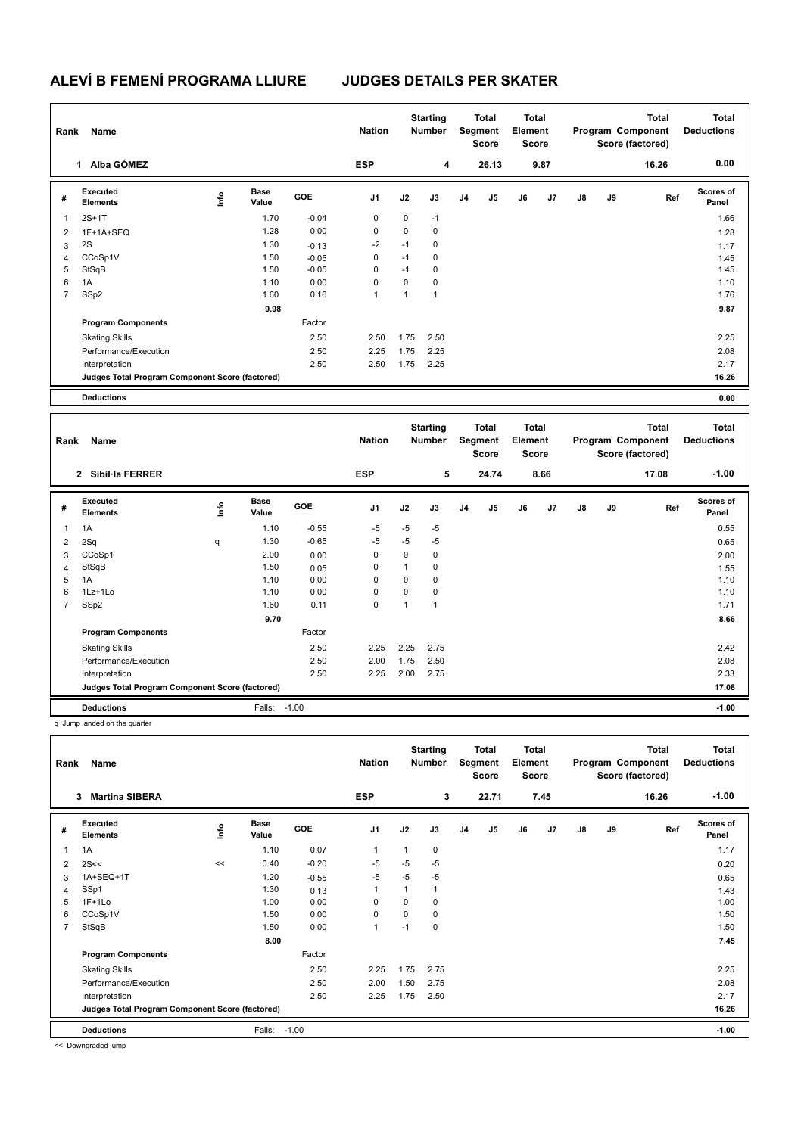## **ALEVÍ B FEMENÍ PROGRAMA LLIURE JUDGES DETAILS PER SKATER**

| Rank<br>Name   |                                                 |    |                      | <b>Nation</b> |                | <b>Starting</b><br><b>Number</b> |                | Total<br>Segment<br><b>Score</b> |       | <b>Total</b><br>Element<br><b>Score</b> |                | Program Component<br>Score (factored) |    | <b>Total</b><br><b>Deductions</b> |                           |
|----------------|-------------------------------------------------|----|----------------------|---------------|----------------|----------------------------------|----------------|----------------------------------|-------|-----------------------------------------|----------------|---------------------------------------|----|-----------------------------------|---------------------------|
|                | Alba GÓMEZ<br>1                                 |    |                      |               | <b>ESP</b>     |                                  | 4              |                                  | 26.13 |                                         | 9.87           |                                       |    | 16.26                             | 0.00                      |
| #              | Executed<br><b>Elements</b>                     | ۴ů | <b>Base</b><br>Value | <b>GOE</b>    | J <sub>1</sub> | J2                               | J3             | J <sub>4</sub>                   | J5    | J6                                      | J <sub>7</sub> | $\mathsf{J}8$                         | J9 | Ref                               | <b>Scores of</b><br>Panel |
| 1              | $2S+1T$                                         |    | 1.70                 | $-0.04$       | 0              | 0                                | $-1$           |                                  |       |                                         |                |                                       |    |                                   | 1.66                      |
| 2              | 1F+1A+SEQ                                       |    | 1.28                 | 0.00          | $\Omega$       | 0                                | 0              |                                  |       |                                         |                |                                       |    |                                   | 1.28                      |
| 3              | 2S                                              |    | 1.30                 | $-0.13$       | $-2$           | $-1$                             | 0              |                                  |       |                                         |                |                                       |    |                                   | 1.17                      |
| 4              | CCoSp1V                                         |    | 1.50                 | $-0.05$       | 0              | $-1$                             | 0              |                                  |       |                                         |                |                                       |    |                                   | 1.45                      |
| 5              | StSqB                                           |    | 1.50                 | $-0.05$       | 0              | $-1$                             | 0              |                                  |       |                                         |                |                                       |    |                                   | 1.45                      |
| 6              | 1A                                              |    | 1.10                 | 0.00          | $\Omega$       | 0                                | 0              |                                  |       |                                         |                |                                       |    |                                   | 1.10                      |
| $\overline{7}$ | SSp2                                            |    | 1.60                 | 0.16          | 1              | 1                                | $\overline{1}$ |                                  |       |                                         |                |                                       |    |                                   | 1.76                      |
|                |                                                 |    | 9.98                 |               |                |                                  |                |                                  |       |                                         |                |                                       |    |                                   | 9.87                      |
|                | <b>Program Components</b>                       |    |                      | Factor        |                |                                  |                |                                  |       |                                         |                |                                       |    |                                   |                           |
|                | <b>Skating Skills</b>                           |    |                      | 2.50          | 2.50           | 1.75                             | 2.50           |                                  |       |                                         |                |                                       |    |                                   | 2.25                      |
|                | Performance/Execution                           |    |                      | 2.50          | 2.25           | 1.75                             | 2.25           |                                  |       |                                         |                |                                       |    |                                   | 2.08                      |
|                | Interpretation                                  |    |                      | 2.50          | 2.50           | 1.75                             | 2.25           |                                  |       |                                         |                |                                       |    |                                   | 2.17                      |
|                | Judges Total Program Component Score (factored) |    |                      |               |                |                                  |                |                                  |       |                                         |                |                                       |    |                                   | 16.26                     |
|                | <b>Deductions</b>                               |    |                      |               |                |                                  |                |                                  |       |                                         |                |                                       |    |                                   | 0.00                      |
|                |                                                 |    |                      |               |                |                                  |                |                                  |       |                                         |                |                                       |    |                                   |                           |

| Name<br>Rank   |                                                 |      |                      |         | <b>Nation</b>  |      | <b>Starting</b><br><b>Number</b> |                | <b>Total</b><br>Segment<br><b>Score</b> |    | <b>Total</b><br>Element<br><b>Score</b> |               |    | <b>Total</b><br>Program Component<br>Score (factored) | <b>Total</b><br><b>Deductions</b> |
|----------------|-------------------------------------------------|------|----------------------|---------|----------------|------|----------------------------------|----------------|-----------------------------------------|----|-----------------------------------------|---------------|----|-------------------------------------------------------|-----------------------------------|
|                | 2 Sibil·la FERRER                               |      |                      |         | <b>ESP</b>     |      | 5                                |                | 24.74                                   |    | 8.66                                    |               |    | 17.08                                                 | $-1.00$                           |
| #              | Executed<br><b>Elements</b>                     | lnfo | <b>Base</b><br>Value | GOE     | J <sub>1</sub> | J2   | J3                               | J <sub>4</sub> | J5                                      | J6 | J7                                      | $\mathsf{J}8$ | J9 | Ref                                                   | <b>Scores of</b><br>Panel         |
| 1              | 1A                                              |      | 1.10                 | $-0.55$ | $-5$           | $-5$ | $-5$                             |                |                                         |    |                                         |               |    |                                                       | 0.55                              |
| 2              | 2Sq                                             | q    | 1.30                 | $-0.65$ | -5             | $-5$ | $-5$                             |                |                                         |    |                                         |               |    |                                                       | 0.65                              |
| 3              | CCoSp1                                          |      | 2.00                 | 0.00    | 0              | 0    | 0                                |                |                                         |    |                                         |               |    |                                                       | 2.00                              |
| 4              | StSqB                                           |      | 1.50                 | 0.05    | 0              | 1    | 0                                |                |                                         |    |                                         |               |    |                                                       | 1.55                              |
| 5              | 1A                                              |      | 1.10                 | 0.00    | 0              | 0    | 0                                |                |                                         |    |                                         |               |    |                                                       | 1.10                              |
| 6              | $1Lz+1Lo$                                       |      | 1.10                 | 0.00    | 0              | 0    | 0                                |                |                                         |    |                                         |               |    |                                                       | 1.10                              |
| $\overline{7}$ | SSp2                                            |      | 1.60                 | 0.11    | 0              | 1    | 1                                |                |                                         |    |                                         |               |    |                                                       | 1.71                              |
|                |                                                 |      | 9.70                 |         |                |      |                                  |                |                                         |    |                                         |               |    |                                                       | 8.66                              |
|                | <b>Program Components</b>                       |      |                      | Factor  |                |      |                                  |                |                                         |    |                                         |               |    |                                                       |                                   |
|                | <b>Skating Skills</b>                           |      |                      | 2.50    | 2.25           | 2.25 | 2.75                             |                |                                         |    |                                         |               |    |                                                       | 2.42                              |
|                | Performance/Execution                           |      |                      | 2.50    | 2.00           | 1.75 | 2.50                             |                |                                         |    |                                         |               |    |                                                       | 2.08                              |
|                | Interpretation                                  |      |                      | 2.50    | 2.25           | 2.00 | 2.75                             |                |                                         |    |                                         |               |    |                                                       | 2.33                              |
|                | Judges Total Program Component Score (factored) |      |                      |         |                |      |                                  |                |                                         |    |                                         |               |    |                                                       | 17.08                             |
|                | <b>Deductions</b>                               |      | Falls:               | $-1.00$ |                |      |                                  |                |                                         |    |                                         |               |    |                                                       | $-1.00$                           |

q Jump landed on the quarter

| Rank           | Name                                            |      |               |            | <b>Nation</b>  |             | <b>Starting</b><br><b>Number</b> |                | <b>Total</b><br>Segment<br><b>Score</b> | <b>Total</b><br>Element<br><b>Score</b> |      |               |    | <b>Total</b><br>Program Component<br>Score (factored) | <b>Total</b><br><b>Deductions</b> |
|----------------|-------------------------------------------------|------|---------------|------------|----------------|-------------|----------------------------------|----------------|-----------------------------------------|-----------------------------------------|------|---------------|----|-------------------------------------------------------|-----------------------------------|
|                | <b>Martina SIBERA</b><br>3                      |      |               |            | <b>ESP</b>     |             | 3                                |                | 22.71                                   |                                         | 7.45 |               |    | 16.26                                                 | $-1.00$                           |
| #              | Executed<br><b>Elements</b>                     | lnfo | Base<br>Value | <b>GOE</b> | J <sub>1</sub> | J2          | J3                               | J <sub>4</sub> | J <sub>5</sub>                          | J6                                      | J7   | $\mathsf{J}8$ | J9 | Ref                                                   | Scores of<br>Panel                |
| 1              | 1A                                              |      | 1.10          | 0.07       | $\overline{1}$ |             | 0                                |                |                                         |                                         |      |               |    |                                                       | 1.17                              |
| 2              | 2S<<                                            | <<   | 0.40          | $-0.20$    | $-5$           | $-5$        | $-5$                             |                |                                         |                                         |      |               |    |                                                       | 0.20                              |
| 3              | 1A+SEQ+1T                                       |      | 1.20          | $-0.55$    | -5             | $-5$        | $-5$                             |                |                                         |                                         |      |               |    |                                                       | 0.65                              |
| 4              | SSp1                                            |      | 1.30          | 0.13       | 1              |             | 1                                |                |                                         |                                         |      |               |    |                                                       | 1.43                              |
| 5              | $1F+1Lo$                                        |      | 1.00          | 0.00       | 0              | 0           | 0                                |                |                                         |                                         |      |               |    |                                                       | 1.00                              |
| 6              | CCoSp1V                                         |      | 1.50          | 0.00       | $\mathbf 0$    | $\mathbf 0$ | 0                                |                |                                         |                                         |      |               |    |                                                       | 1.50                              |
| $\overline{7}$ | StSqB                                           |      | 1.50          | 0.00       | $\overline{1}$ | $-1$        | 0                                |                |                                         |                                         |      |               |    |                                                       | 1.50                              |
|                |                                                 |      | 8.00          |            |                |             |                                  |                |                                         |                                         |      |               |    |                                                       | 7.45                              |
|                | <b>Program Components</b>                       |      |               | Factor     |                |             |                                  |                |                                         |                                         |      |               |    |                                                       |                                   |
|                | <b>Skating Skills</b>                           |      |               | 2.50       | 2.25           | 1.75        | 2.75                             |                |                                         |                                         |      |               |    |                                                       | 2.25                              |
|                | Performance/Execution                           |      |               | 2.50       | 2.00           | 1.50        | 2.75                             |                |                                         |                                         |      |               |    |                                                       | 2.08                              |
|                | Interpretation                                  |      |               | 2.50       | 2.25           | 1.75        | 2.50                             |                |                                         |                                         |      |               |    |                                                       | 2.17                              |
|                | Judges Total Program Component Score (factored) |      |               |            |                |             |                                  |                |                                         |                                         |      |               |    |                                                       | 16.26                             |
|                | <b>Deductions</b>                               |      | Falls:        | $-1.00$    |                |             |                                  |                |                                         |                                         |      |               |    |                                                       | $-1.00$                           |

<< Downgraded jump